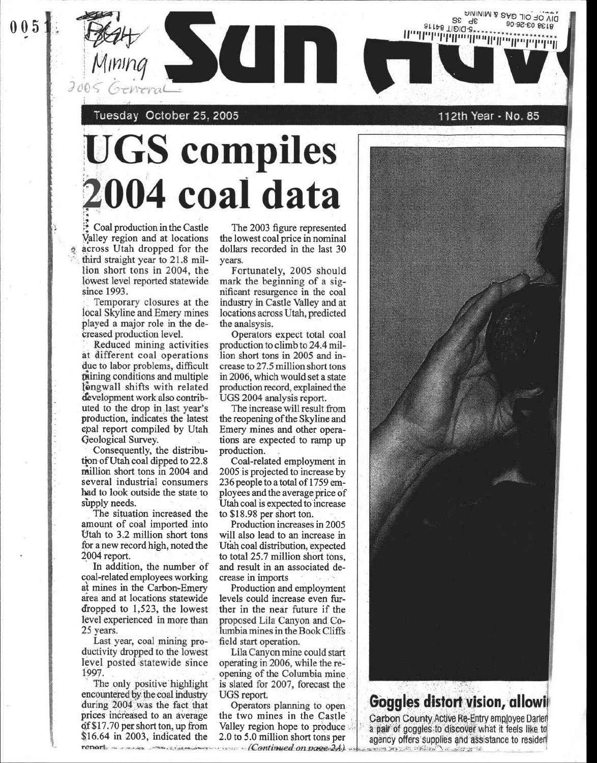Tuesday October 25, 2005

## **UGS compiles** 004 coal data

Coal production in the Castle Valley region and at locations across Utah dropped for the third straight year to 21.8 million short tons in 2004, the lowest level reported statewide since 1993.

Temporary closures at the local Skyline and Emery mines played a major role in the decreased production level.

Reduced mining activities at different coal operations due to labor problems, difficult mining conditions and multiple longwall shifts with related development work also contributed to the drop in last year's production, indicates the latest coal report compiled by Utah Geological Survey.

Consequently, the distribution of Utah coal dipped to 22.8 million short tons in 2004 and several industrial consumers had to look outside the state to supply needs.

The situation increased the amount of coal imported into Utah to 3.2 million short tons for a new record high, noted the 2004 report.

In addition, the number of coal-related employees working at mines in the Carbon-Emery area and at locations statewide dropped to 1,523, the lowest level experienced in more than 25 years.

Last year, coal mining productivity dropped to the lowest level posted statewide since 1997.

The only positive highlight encountered by the coal industry during 2004 was the fact that prices increased to an average of \$17.70 per short ton, up from  $$16.64$  in 2003, indicated the

The 2003 figure represented the lowest coal price in nominal dollars recorded in the last 30 vears.

**SCITT** 

Fortunately, 2005 should mark the beginning of a significant resurgence in the coal industry in Castle Valley and at locations across Utah, predicted the analsysis.

Operators expect total coal production to climb to 24.4 million short tons in 2005 and increase to 27.5 million short tons in 2006, which would set a state production record, explained the UGS 2004 analysis report.

The increase will result from the reopening of the Skyline and Emery mines and other operations are expected to ramp up production.

Coal-related employment in 2005 is projected to increase by 236 people to a total of 1759 employees and the average price of Utah coal is expected to increase to \$18.98 per short ton.

Production increases in 2005 will also lead to an increase in Utah coal distribution, expected to total 25.7 million short tons, and result in an associated decrease in imports

Production and employment levels could increase even further in the near future if the proposed Lila Canyon and Columbia mines in the Book Cliffs field start operation.

Lila Canyon mine could start operating in 2006, while the reopening of the Columbia mine is slated for 2007, forecast the UGS report.

Operators planning to open the two mines in the Castle Valley region hope to produce 2.0 to 5.0 million short tons per renort = xxx.xx xxx.xxx.xxxxxxxxxxx (Continued on page 2A) 112th Year - No. 85

الملطما سالسال السيالية بالبائية لماسال

SE

arras Tibid-8\*'

DIV OF OIL GAS & MINING

8138 03-26-06



## Goggles distort vision, allowi

Carbon County Active Re-Entry employee Darlen a pair of goggles to discover what it feels like to agency offers supplies and assistance to resident marked beginned to history in the ground

 $005$